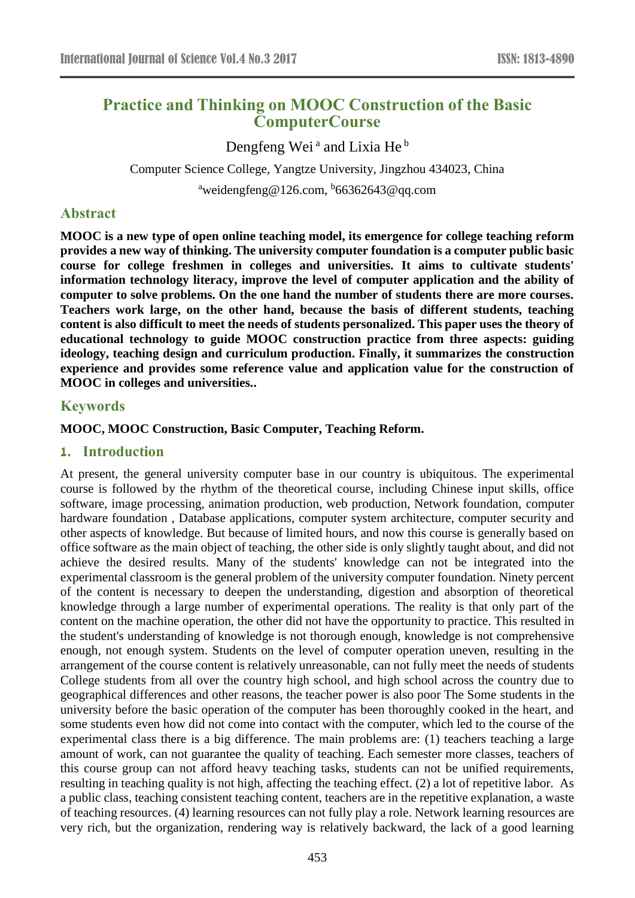# **Practice and Thinking on MOOC Construction of the Basic ComputerCourse**

Dengfeng Wei<sup>a</sup> and Lixia He<sup>b</sup> Computer Science College, Yangtze University, Jingzhou 434023, China <sup>a</sup>weidengfeng@126.com, <sup>b</sup>66362643@qq.com

## **Abstract**

**MOOC is a new type of open online teaching model, its emergence for college teaching reform provides a new way of thinking. The university computer foundation is a computer public basic course for college freshmen in colleges and universities. It aims to cultivate students' information technology literacy, improve the level of computer application and the ability of computer to solve problems. On the one hand the number of students there are more courses. Teachers work large, on the other hand, because the basis of different students, teaching content is also difficult to meet the needs of students personalized. This paper uses the theory of educational technology to guide MOOC construction practice from three aspects: guiding ideology, teaching design and curriculum production. Finally, it summarizes the construction experience and provides some reference value and application value for the construction of MOOC in colleges and universities..**

## **Keywords**

#### **MOOC, MOOC Construction, Basic Computer, Teaching Reform.**

#### **1. Introduction**

At present, the general university computer base in our country is ubiquitous. The experimental course is followed by the rhythm of the theoretical course, including Chinese input skills, office software, image processing, animation production, web production, Network foundation, computer hardware foundation , Database applications, computer system architecture, computer security and other aspects of knowledge. But because of limited hours, and now this course is generally based on office software as the main object of teaching, the other side is only slightly taught about, and did not achieve the desired results. Many of the students' knowledge can not be integrated into the experimental classroom is the general problem of the university computer foundation. Ninety percent of the content is necessary to deepen the understanding, digestion and absorption of theoretical knowledge through a large number of experimental operations. The reality is that only part of the content on the machine operation, the other did not have the opportunity to practice. This resulted in the student's understanding of knowledge is not thorough enough, knowledge is not comprehensive enough, not enough system. Students on the level of computer operation uneven, resulting in the arrangement of the course content is relatively unreasonable, can not fully meet the needs of students College students from all over the country high school, and high school across the country due to geographical differences and other reasons, the teacher power is also poor The Some students in the university before the basic operation of the computer has been thoroughly cooked in the heart, and some students even how did not come into contact with the computer, which led to the course of the experimental class there is a big difference. The main problems are: (1) teachers teaching a large amount of work, can not guarantee the quality of teaching. Each semester more classes, teachers of this course group can not afford heavy teaching tasks, students can not be unified requirements, resulting in teaching quality is not high, affecting the teaching effect. (2) a lot of repetitive labor. As a public class, teaching consistent teaching content, teachers are in the repetitive explanation, a waste of teaching resources. (4) learning resources can not fully play a role. Network learning resources are very rich, but the organization, rendering way is relatively backward, the lack of a good learning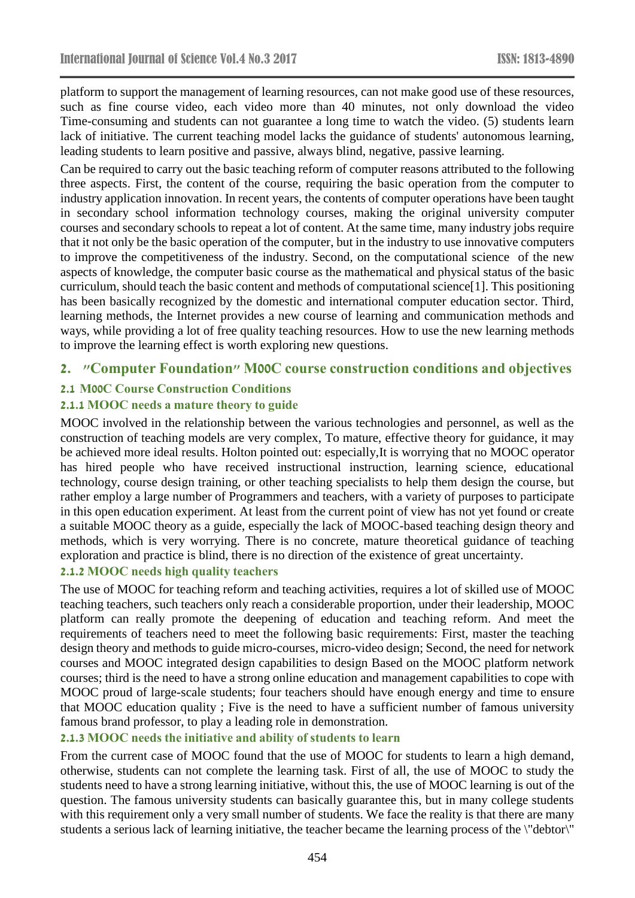platform to support the management of learning resources, can not make good use of these resources, such as fine course video, each video more than 40 minutes, not only download the video Time-consuming and students can not guarantee a long time to watch the video. (5) students learn lack of initiative. The current teaching model lacks the guidance of students' autonomous learning, leading students to learn positive and passive, always blind, negative, passive learning.

Can be required to carry out the basic teaching reform of computer reasons attributed to the following three aspects. First, the content of the course, requiring the basic operation from the computer to industry application innovation. In recent years, the contents of computer operations have been taught in secondary school information technology courses, making the original university computer courses and secondary schools to repeat a lot of content. At the same time, many industry jobs require that it not only be the basic operation of the computer, but in the industry to use innovative computers to improve the competitiveness of the industry. Second, on the computational science of the new aspects of knowledge, the computer basic course as the mathematical and physical status of the basic curriculum, should teach the basic content and methods of computational science[1]. This positioning has been basically recognized by the domestic and international computer education sector. Third, learning methods, the Internet provides a new course of learning and communication methods and ways, while providing a lot of free quality teaching resources. How to use the new learning methods to improve the learning effect is worth exploring new questions.

## **2. "Computer Foundation" M00C course construction conditions and objectives**

## **2.1 M00C Course Construction Conditions**

## **2.1.1 MOOC needs a mature theory to guide**

MOOC involved in the relationship between the various technologies and personnel, as well as the construction of teaching models are very complex, To mature, effective theory for guidance, it may be achieved more ideal results. Holton pointed out: especially,It is worrying that no MOOC operator has hired people who have received instructional instruction, learning science, educational technology, course design training, or other teaching specialists to help them design the course, but rather employ a large number of Programmers and teachers, with a variety of purposes to participate in this open education experiment. At least from the current point of view has not yet found or create a suitable MOOC theory as a guide, especially the lack of MOOC-based teaching design theory and methods, which is very worrying. There is no concrete, mature theoretical guidance of teaching exploration and practice is blind, there is no direction of the existence of great uncertainty.

#### **2.1.2 MOOC needs high quality teachers**

The use of MOOC for teaching reform and teaching activities, requires a lot of skilled use of MOOC teaching teachers, such teachers only reach a considerable proportion, under their leadership, MOOC platform can really promote the deepening of education and teaching reform. And meet the requirements of teachers need to meet the following basic requirements: First, master the teaching design theory and methods to guide micro-courses, micro-video design; Second, the need for network courses and MOOC integrated design capabilities to design Based on the MOOC platform network courses; third is the need to have a strong online education and management capabilities to cope with MOOC proud of large-scale students; four teachers should have enough energy and time to ensure that MOOC education quality ; Five is the need to have a sufficient number of famous university famous brand professor, to play a leading role in demonstration.

#### **2.1.3 MOOC needs the initiative and ability of students to learn**

From the current case of MOOC found that the use of MOOC for students to learn a high demand, otherwise, students can not complete the learning task. First of all, the use of MOOC to study the students need to have a strong learning initiative, without this, the use of MOOC learning is out of the question. The famous university students can basically guarantee this, but in many college students with this requirement only a very small number of students. We face the reality is that there are many students a serious lack of learning initiative, the teacher became the learning process of the \"debtor\"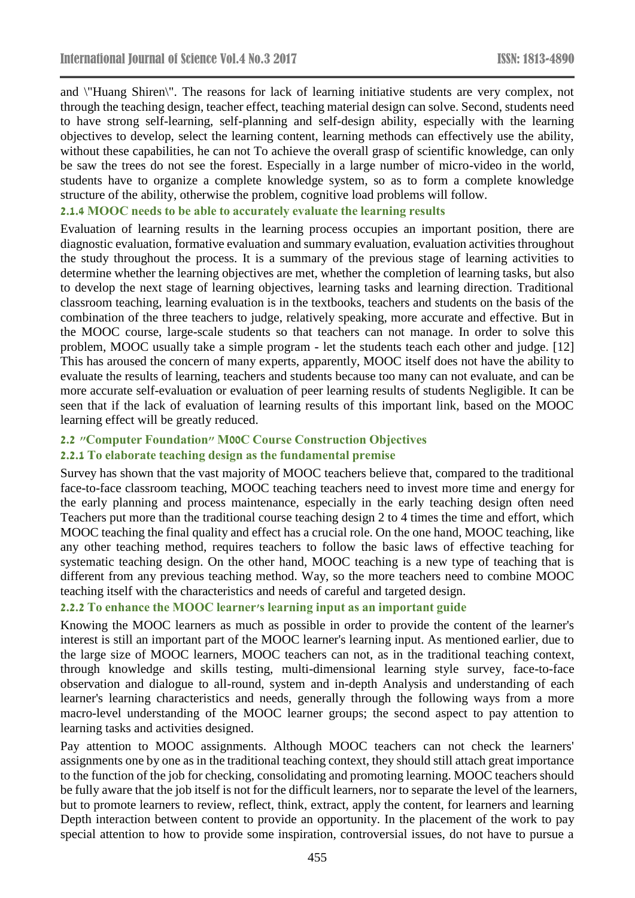and \"Huang Shiren\". The reasons for lack of learning initiative students are very complex, not through the teaching design, teacher effect, teaching material design can solve. Second, students need to have strong self-learning, self-planning and self-design ability, especially with the learning objectives to develop, select the learning content, learning methods can effectively use the ability, without these capabilities, he can not To achieve the overall grasp of scientific knowledge, can only be saw the trees do not see the forest. Especially in a large number of micro-video in the world, students have to organize a complete knowledge system, so as to form a complete knowledge structure of the ability, otherwise the problem, cognitive load problems will follow.

## **2.1.4 MOOC needs to be able to accurately evaluate the learning results**

Evaluation of learning results in the learning process occupies an important position, there are diagnostic evaluation, formative evaluation and summary evaluation, evaluation activities throughout the study throughout the process. It is a summary of the previous stage of learning activities to determine whether the learning objectives are met, whether the completion of learning tasks, but also to develop the next stage of learning objectives, learning tasks and learning direction. Traditional classroom teaching, learning evaluation is in the textbooks, teachers and students on the basis of the combination of the three teachers to judge, relatively speaking, more accurate and effective. But in the MOOC course, large-scale students so that teachers can not manage. In order to solve this problem, MOOC usually take a simple program - let the students teach each other and judge. [12] This has aroused the concern of many experts, apparently, MOOC itself does not have the ability to evaluate the results of learning, teachers and students because too many can not evaluate, and can be more accurate self-evaluation or evaluation of peer learning results of students Negligible. It can be seen that if the lack of evaluation of learning results of this important link, based on the MOOC learning effect will be greatly reduced.

#### **2.2 "Computer Foundation" M00C Course Construction Objectives**

#### **2.2.1 To elaborate teaching design as the fundamental premise**

Survey has shown that the vast majority of MOOC teachers believe that, compared to the traditional face-to-face classroom teaching, MOOC teaching teachers need to invest more time and energy for the early planning and process maintenance, especially in the early teaching design often need Teachers put more than the traditional course teaching design 2 to 4 times the time and effort, which MOOC teaching the final quality and effect has a crucial role. On the one hand, MOOC teaching, like any other teaching method, requires teachers to follow the basic laws of effective teaching for systematic teaching design. On the other hand, MOOC teaching is a new type of teaching that is different from any previous teaching method. Way, so the more teachers need to combine MOOC teaching itself with the characteristics and needs of careful and targeted design.

#### **2.2.2 To enhance the MOOC learner's learning input as an important guide**

Knowing the MOOC learners as much as possible in order to provide the content of the learner's interest is still an important part of the MOOC learner's learning input. As mentioned earlier, due to the large size of MOOC learners, MOOC teachers can not, as in the traditional teaching context, through knowledge and skills testing, multi-dimensional learning style survey, face-to-face observation and dialogue to all-round, system and in-depth Analysis and understanding of each learner's learning characteristics and needs, generally through the following ways from a more macro-level understanding of the MOOC learner groups; the second aspect to pay attention to learning tasks and activities designed.

Pay attention to MOOC assignments. Although MOOC teachers can not check the learners' assignments one by one as in the traditional teaching context, they should still attach great importance to the function of the job for checking, consolidating and promoting learning. MOOC teachers should be fully aware that the job itself is not for the difficult learners, nor to separate the level of the learners, but to promote learners to review, reflect, think, extract, apply the content, for learners and learning Depth interaction between content to provide an opportunity. In the placement of the work to pay special attention to how to provide some inspiration, controversial issues, do not have to pursue a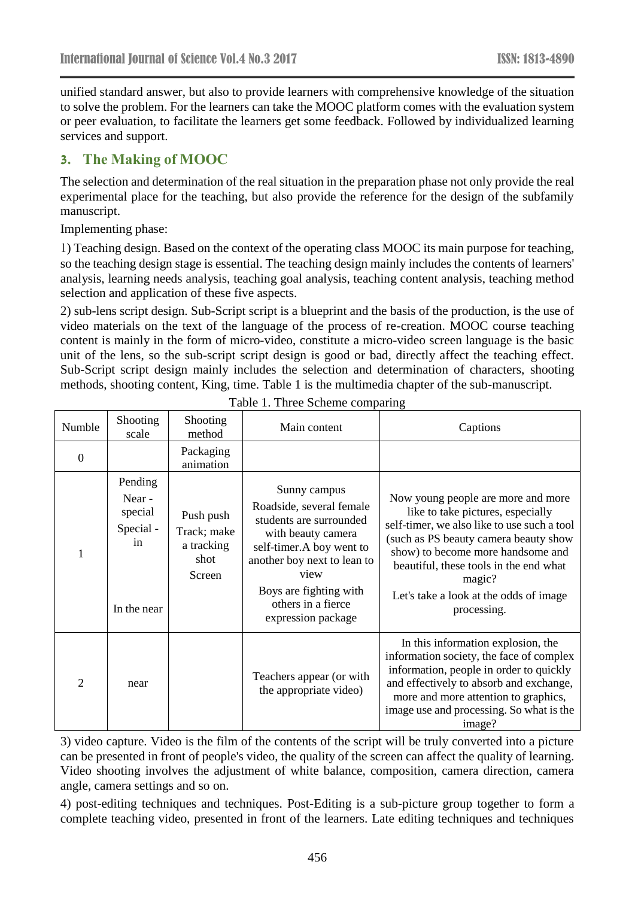unified standard answer, but also to provide learners with comprehensive knowledge of the situation to solve the problem. For the learners can take the MOOC platform comes with the evaluation system or peer evaluation, to facilitate the learners get some feedback. Followed by individualized learning services and support.

## **3. The Making of MOOC**

The selection and determination of the real situation in the preparation phase not only provide the real experimental place for the teaching, but also provide the reference for the design of the subfamily manuscript.

Implementing phase:

1) Teaching design. Based on the context of the operating class MOOC its main purpose for teaching, so the teaching design stage is essential. The teaching design mainly includes the contents of learners' analysis, learning needs analysis, teaching goal analysis, teaching content analysis, teaching method selection and application of these five aspects.

2) sub-lens script design. Sub-Script script is a blueprint and the basis of the production, is the use of video materials on the text of the language of the process of re-creation. MOOC course teaching content is mainly in the form of micro-video, constitute a micro-video screen language is the basic unit of the lens, so the sub-script script design is good or bad, directly affect the teaching effect. Sub-Script script design mainly includes the selection and determination of characters, shooting methods, shooting content, King, time. Table 1 is the multimedia chapter of the sub-manuscript.

| Numble         | Shooting<br>scale                                              | Shooting<br>method                                       | Main content                                                                                                                                                                                                 | Captions                                                                                                                                                                                                                                                                                                          |
|----------------|----------------------------------------------------------------|----------------------------------------------------------|--------------------------------------------------------------------------------------------------------------------------------------------------------------------------------------------------------------|-------------------------------------------------------------------------------------------------------------------------------------------------------------------------------------------------------------------------------------------------------------------------------------------------------------------|
| $\overline{0}$ |                                                                | Packaging<br>animation                                   |                                                                                                                                                                                                              |                                                                                                                                                                                                                                                                                                                   |
|                | Pending<br>Near -<br>special<br>Special -<br>in<br>In the near | Push push<br>Track; make<br>a tracking<br>shot<br>Screen | Sunny campus<br>Roadside, several female<br>students are surrounded<br>with beauty camera<br>self-timer.A boy went to<br>another boy next to lean to<br>view<br>Boys are fighting with<br>others in a fierce | Now young people are more and more<br>like to take pictures, especially<br>self-timer, we also like to use such a tool<br>(such as PS beauty camera beauty show<br>show) to become more handsome and<br>beautiful, these tools in the end what<br>magic?<br>Let's take a look at the odds of image<br>processing. |
|                |                                                                |                                                          | expression package                                                                                                                                                                                           |                                                                                                                                                                                                                                                                                                                   |
| $\overline{2}$ | near                                                           |                                                          | Teachers appear (or with<br>the appropriate video)                                                                                                                                                           | In this information explosion, the<br>information society, the face of complex<br>information, people in order to quickly<br>and effectively to absorb and exchange,<br>more and more attention to graphics,<br>image use and processing. So what is the<br>image?                                                |

Table 1. Three Scheme comparing

3) video capture. Video is the film of the contents of the script will be truly converted into a picture can be presented in front of people's video, the quality of the screen can affect the quality of learning. Video shooting involves the adjustment of white balance, composition, camera direction, camera angle, camera settings and so on.

4) post-editing techniques and techniques. Post-Editing is a sub-picture group together to form a complete teaching video, presented in front of the learners. Late editing techniques and techniques